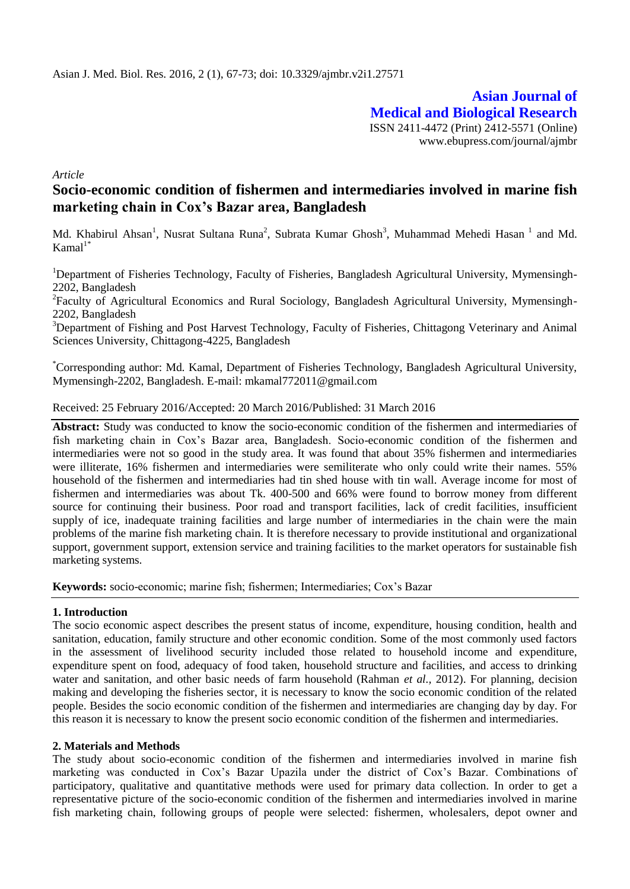**Asian Journal of Medical and Biological Research** ISSN 2411-4472 (Print) 2412-5571 (Online) www.ebupress.com/journal/ajmbr

*Article*

# **Socio-economic condition of fishermen and intermediaries involved in marine fish marketing chain in Cox's Bazar area, Bangladesh**

Md. Khabirul Ahsan<sup>1</sup>, Nusrat Sultana Runa<sup>2</sup>, Subrata Kumar Ghosh<sup>3</sup>, Muhammad Mehedi Hasan<sup>1</sup> and Md.  $Kamal<sup>1*</sup>$ 

<sup>1</sup>Department of Fisheries Technology, Faculty of Fisheries, Bangladesh Agricultural University, Mymensingh-2202, Bangladesh

<sup>2</sup>Faculty of Agricultural Economics and Rural Sociology, Bangladesh Agricultural University, Mymensingh-2202, Bangladesh

<sup>3</sup>Department of Fishing and Post Harvest Technology, Faculty of Fisheries, Chittagong Veterinary and Animal Sciences University, Chittagong-4225, Bangladesh

\*Corresponding author: Md. Kamal, Department of Fisheries Technology, Bangladesh Agricultural University, Mymensingh-2202, Bangladesh. E-mail: mkamal772011@gmail.com

### Received: 25 February 2016/Accepted: 20 March 2016/Published: 31 March 2016

**Abstract:** Study was conducted to know the socio-economic condition of the fishermen and intermediaries of fish marketing chain in Cox's Bazar area, Bangladesh. Socio-economic condition of the fishermen and intermediaries were not so good in the study area. It was found that about 35% fishermen and intermediaries were illiterate, 16% fishermen and intermediaries were semiliterate who only could write their names. 55% household of the fishermen and intermediaries had tin shed house with tin wall. Average income for most of fishermen and intermediaries was about Tk. 400-500 and 66% were found to borrow money from different source for continuing their business. Poor road and transport facilities, lack of credit facilities, insufficient supply of ice, inadequate training facilities and large number of intermediaries in the chain were the main problems of the marine fish marketing chain. It is therefore necessary to provide institutional and organizational support, government support, extension service and training facilities to the market operators for sustainable fish marketing systems.

**Keywords:** socio-economic; marine fish; fishermen; Intermediaries; Cox's Bazar

### **1. Introduction**

The socio economic aspect describes the present status of income, expenditure, housing condition, health and sanitation, education, family structure and other economic condition. Some of the most commonly used factors in the assessment of livelihood security included those related to household income and expenditure, expenditure spent on food, adequacy of food taken, household structure and facilities, and access to drinking water and sanitation, and other basic needs of farm household (Rahman *et al.,* 2012). For planning, decision making and developing the fisheries sector, it is necessary to know the socio economic condition of the related people. Besides the socio economic condition of the fishermen and intermediaries are changing day by day. For this reason it is necessary to know the present socio economic condition of the fishermen and intermediaries.

### **2. Materials and Methods**

The study about socio-economic condition of the fishermen and intermediaries involved in marine fish marketing was conducted in Cox's Bazar Upazila under the district of Cox's Bazar. Combinations of participatory, qualitative and quantitative methods were used for primary data collection. In order to get a representative picture of the socio-economic condition of the fishermen and intermediaries involved in marine fish marketing chain, following groups of people were selected: fishermen, wholesalers, depot owner and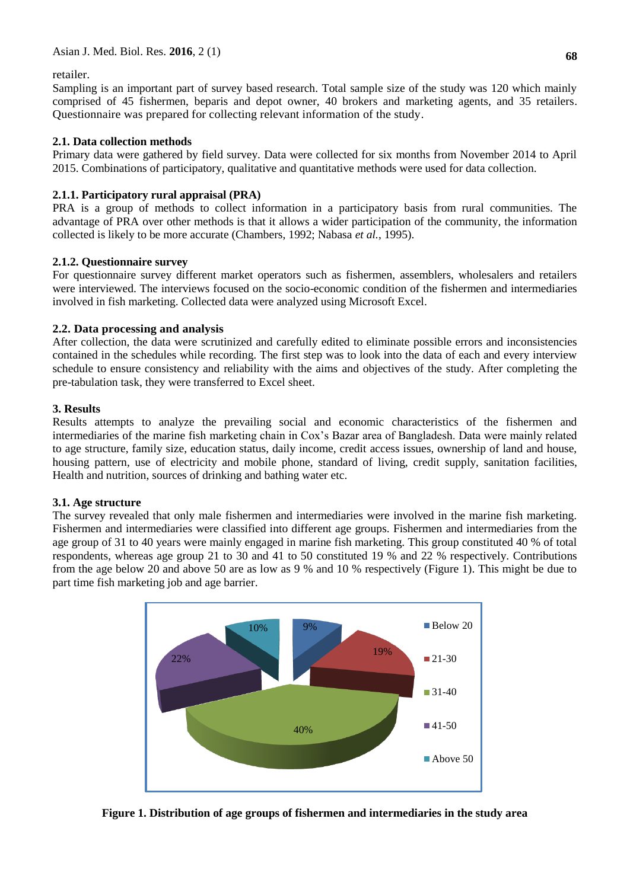retailer.

Sampling is an important part of survey based research. Total sample size of the study was 120 which mainly comprised of 45 fishermen, beparis and depot owner, 40 brokers and marketing agents, and 35 retailers. Questionnaire was prepared for collecting relevant information of the study.

# **2.1. Data collection methods**

Primary data were gathered by field survey. Data were collected for six months from November 2014 to April 2015. Combinations of participatory, qualitative and quantitative methods were used for data collection.

# **2.1.1. Participatory rural appraisal (PRA)**

PRA is a group of methods to collect information in a participatory basis from rural communities. The advantage of PRA over other methods is that it allows a wider participation of the community, the information collected is likely to be more accurate (Chambers, 1992; Nabasa *et al.*, 1995).

# **2.1.2. Questionnaire survey**

For questionnaire survey different market operators such as fishermen, assemblers, wholesalers and retailers were interviewed. The interviews focused on the socio-economic condition of the fishermen and intermediaries involved in fish marketing. Collected data were analyzed using Microsoft Excel.

# **2.2. Data processing and analysis**

After collection, the data were scrutinized and carefully edited to eliminate possible errors and inconsistencies contained in the schedules while recording. The first step was to look into the data of each and every interview schedule to ensure consistency and reliability with the aims and objectives of the study. After completing the pre-tabulation task, they were transferred to Excel sheet.

# **3. Results**

Results attempts to analyze the prevailing social and economic characteristics of the fishermen and intermediaries of the marine fish marketing chain in Cox's Bazar area of Bangladesh. Data were mainly related to age structure, family size, education status, daily income, credit access issues, ownership of land and house, housing pattern, use of electricity and mobile phone, standard of living, credit supply, sanitation facilities, Health and nutrition, sources of drinking and bathing water etc.

# **3.1. Age structure**

The survey revealed that only male fishermen and intermediaries were involved in the marine fish marketing. Fishermen and intermediaries were classified into different age groups. Fishermen and intermediaries from the age group of 31 to 40 years were mainly engaged in marine fish marketing. This group constituted 40 % of total respondents, whereas age group 21 to 30 and 41 to 50 constituted 19 % and 22 % respectively. Contributions from the age below 20 and above 50 are as low as 9 % and 10 % respectively (Figure 1). This might be due to part time fish marketing job and age barrier.



**Figure 1. Distribution of age groups of fishermen and intermediaries in the study area**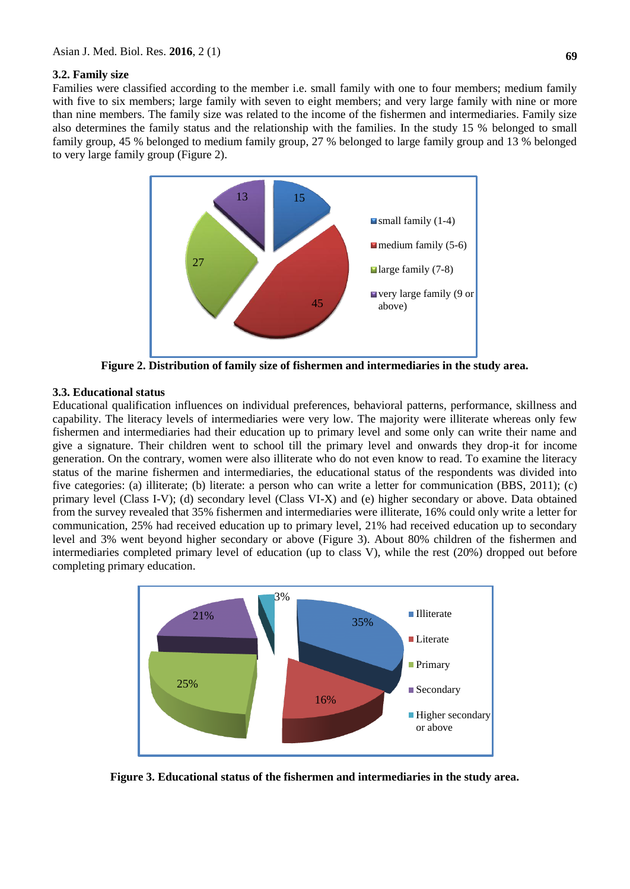#### **3.2. Family size**

Families were classified according to the member i.e. small family with one to four members; medium family with five to six members; large family with seven to eight members; and very large family with nine or more than nine members. The family size was related to the income of the fishermen and intermediaries. Family size also determines the family status and the relationship with the families. In the study 15 % belonged to small family group, 45 % belonged to medium family group, 27 % belonged to large family group and 13 % belonged to very large family group (Figure 2).



**Figure 2. Distribution of family size of fishermen and intermediaries in the study area.**

### **3.3. Educational status**

Educational qualification influences on individual preferences, behavioral patterns, performance, skillness and capability. The literacy levels of intermediaries were very low. The majority were illiterate whereas only few fishermen and intermediaries had their education up to primary level and some only can write their name and give a signature. Their children went to school till the primary level and onwards they drop-it for income generation. On the contrary, women were also illiterate who do not even know to read. To examine the literacy status of the marine fishermen and intermediaries, the educational status of the respondents was divided into five categories: (a) illiterate; (b) literate: a person who can write a letter for communication (BBS, 2011); (c) primary level (Class I-V); (d) secondary level (Class VI-X) and (e) higher secondary or above. Data obtained from the survey revealed that 35% fishermen and intermediaries were illiterate, 16% could only write a letter for communication, 25% had received education up to primary level, 21% had received education up to secondary level and 3% went beyond higher secondary or above (Figure 3). About 80% children of the fishermen and intermediaries completed primary level of education (up to class V), while the rest (20%) dropped out before completing primary education.



**Figure 3. Educational status of the fishermen and intermediaries in the study area.**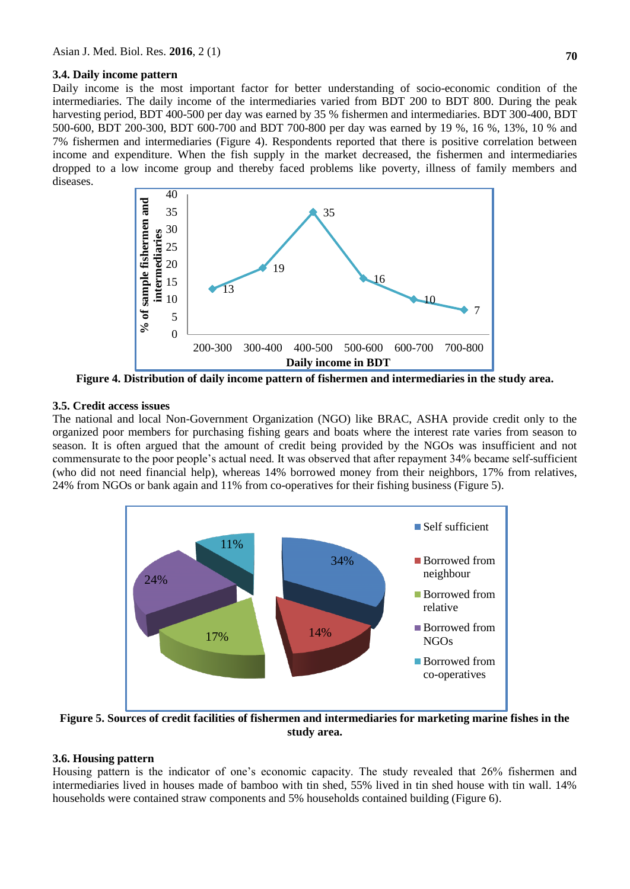#### **3.4. Daily income pattern**

Daily income is the most important factor for better understanding of socio-economic condition of the intermediaries. The daily income of the intermediaries varied from BDT 200 to BDT 800. During the peak harvesting period, BDT 400-500 per day was earned by 35 % fishermen and intermediaries. BDT 300-400, BDT 500-600, BDT 200-300, BDT 600-700 and BDT 700-800 per day was earned by 19 %, 16 %, 13%, 10 % and 7% fishermen and intermediaries (Figure 4). Respondents reported that there is positive correlation between income and expenditure. When the fish supply in the market decreased, the fishermen and intermediaries dropped to a low income group and thereby faced problems like poverty, illness of family members and diseases.



**Figure 4. Distribution of daily income pattern of fishermen and intermediaries in the study area.**

#### **3.5. Credit access issues**

The national and local Non-Government Organization (NGO) like BRAC, ASHA provide credit only to the organized poor members for purchasing fishing gears and boats where the interest rate varies from season to season. It is often argued that the amount of credit being provided by the NGOs was insufficient and not commensurate to the poor people's actual need. It was observed that after repayment 34% became self-sufficient (who did not need financial help), whereas 14% borrowed money from their neighbors, 17% from relatives, 24% from NGOs or bank again and 11% from co-operatives for their fishing business (Figure 5).



**Figure 5. Sources of credit facilities of fishermen and intermediaries for marketing marine fishes in the study area.**

### **3.6. Housing pattern**

Housing pattern is the indicator of one's economic capacity. The study revealed that 26% fishermen and intermediaries lived in houses made of bamboo with tin shed, 55% lived in tin shed house with tin wall. 14% households were contained straw components and 5% households contained building (Figure 6).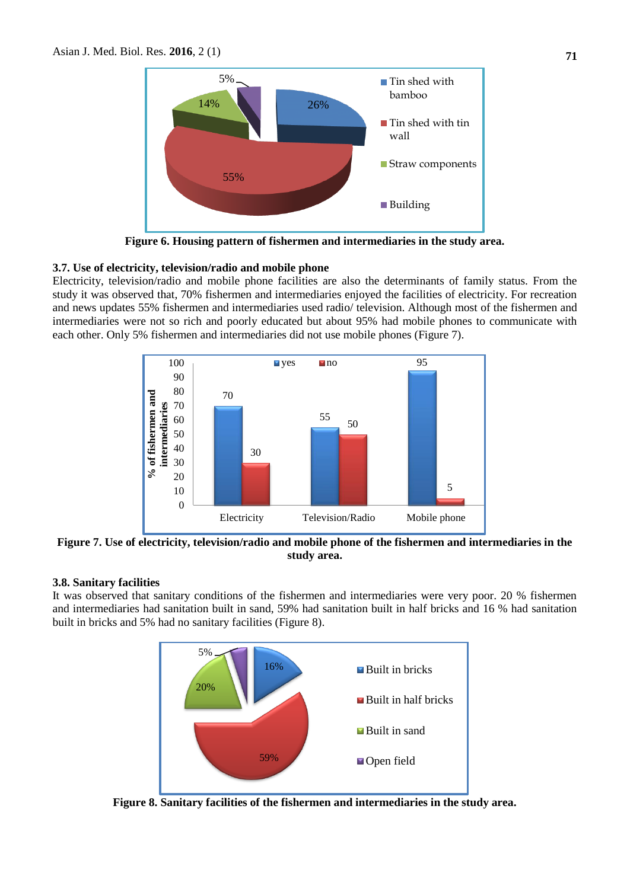

**Figure 6. Housing pattern of fishermen and intermediaries in the study area.**

### **3.7. Use of electricity, television/radio and mobile phone**

Electricity, television/radio and mobile phone facilities are also the determinants of family status. From the study it was observed that, 70% fishermen and intermediaries enjoyed the facilities of electricity. For recreation and news updates 55% fishermen and intermediaries used radio/ television. Although most of the fishermen and intermediaries were not so rich and poorly educated but about 95% had mobile phones to communicate with each other. Only 5% fishermen and intermediaries did not use mobile phones (Figure 7).



**Figure 7. Use of electricity, television/radio and mobile phone of the fishermen and intermediaries in the study area.**

#### **3.8. Sanitary facilities**

It was observed that sanitary conditions of the fishermen and intermediaries were very poor. 20 % fishermen and intermediaries had sanitation built in sand, 59% had sanitation built in half bricks and 16 % had sanitation built in bricks and 5% had no sanitary facilities (Figure 8).



**Figure 8. Sanitary facilities of the fishermen and intermediaries in the study area.**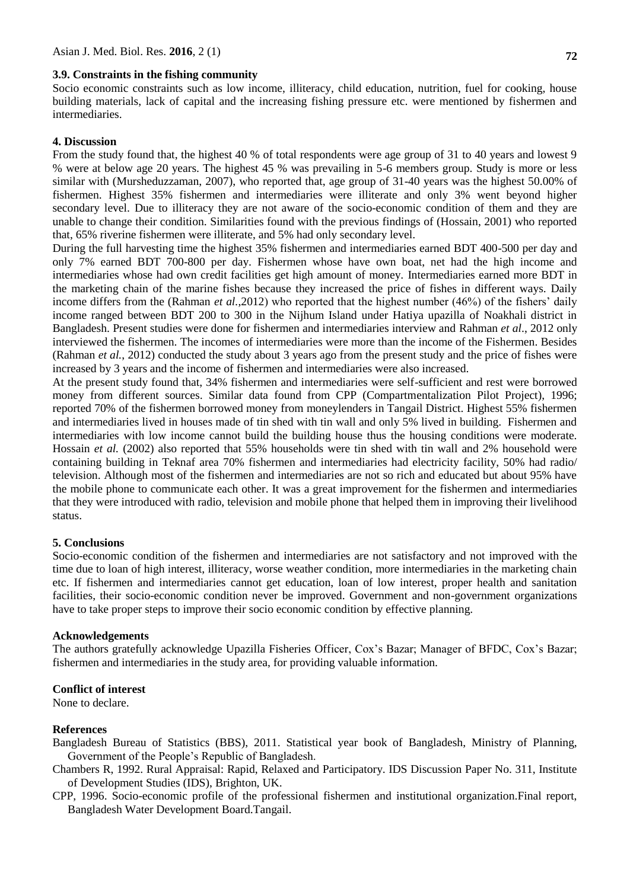### **3.9. Constraints in the fishing community**

Socio economic constraints such as low income, illiteracy, child education, nutrition, fuel for cooking, house building materials, lack of capital and the increasing fishing pressure etc. were mentioned by fishermen and intermediaries.

#### **4. Discussion**

From the study found that, the highest 40 % of total respondents were age group of 31 to 40 years and lowest 9 % were at below age 20 years. The highest 45 % was prevailing in 5-6 members group. Study is more or less similar with (Mursheduzzaman, 2007), who reported that, age group of 31-40 years was the highest 50.00% of fishermen. Highest 35% fishermen and intermediaries were illiterate and only 3% went beyond higher secondary level. Due to illiteracy they are not aware of the socio-economic condition of them and they are unable to change their condition. Similarities found with the previous findings of (Hossain, 2001) who reported that, 65% riverine fishermen were illiterate, and 5% had only secondary level.

During the full harvesting time the highest 35% fishermen and intermediaries earned BDT 400-500 per day and only 7% earned BDT 700-800 per day. Fishermen whose have own boat, net had the high income and intermediaries whose had own credit facilities get high amount of money. Intermediaries earned more BDT in the marketing chain of the marine fishes because they increased the price of fishes in different ways. Daily income differs from the (Rahman *et al.*,2012) who reported that the highest number (46%) of the fishers' daily income ranged between BDT 200 to 300 in the Nijhum Island under Hatiya upazilla of Noakhali district in Bangladesh. Present studies were done for fishermen and intermediaries interview and Rahman *et al*., 2012 only interviewed the fishermen. The incomes of intermediaries were more than the income of the Fishermen. Besides (Rahman *et al.*, 2012) conducted the study about 3 years ago from the present study and the price of fishes were increased by 3 years and the income of fishermen and intermediaries were also increased.

At the present study found that, 34% fishermen and intermediaries were self-sufficient and rest were borrowed money from different sources. Similar data found from CPP (Compartmentalization Pilot Project), 1996; reported 70% of the fishermen borrowed money from moneylenders in Tangail District. Highest 55% fishermen and intermediaries lived in houses made of tin shed with tin wall and only 5% lived in building. Fishermen and intermediaries with low income cannot build the building house thus the housing conditions were moderate. Hossain *et al.* (2002) also reported that 55% households were tin shed with tin wall and 2% household were containing building in Teknaf area 70% fishermen and intermediaries had electricity facility, 50% had radio/ television. Although most of the fishermen and intermediaries are not so rich and educated but about 95% have the mobile phone to communicate each other. It was a great improvement for the fishermen and intermediaries that they were introduced with radio, television and mobile phone that helped them in improving their livelihood status.

#### **5. Conclusions**

Socio-economic condition of the fishermen and intermediaries are not satisfactory and not improved with the time due to loan of high interest, illiteracy, worse weather condition, more intermediaries in the marketing chain etc. If fishermen and intermediaries cannot get education, loan of low interest, proper health and sanitation facilities, their socio-economic condition never be improved. Government and non-government organizations have to take proper steps to improve their socio economic condition by effective planning.

#### **Acknowledgements**

The authors gratefully acknowledge Upazilla Fisheries Officer, Cox's Bazar; Manager of BFDC, Cox's Bazar; fishermen and intermediaries in the study area, for providing valuable information.

#### **Conflict of interest**

None to declare.

#### **References**

Bangladesh Bureau of Statistics (BBS), 2011. Statistical year book of Bangladesh, Ministry of Planning, Government of the People's Republic of Bangladesh.

Chambers R, 1992. Rural Appraisal: Rapid, Relaxed and Participatory. IDS Discussion Paper No. 311, Institute of Development Studies (IDS), Brighton, UK.

CPP, 1996. Socio-economic profile of the professional fishermen and institutional organization.Final report, Bangladesh Water Development Board.Tangail.